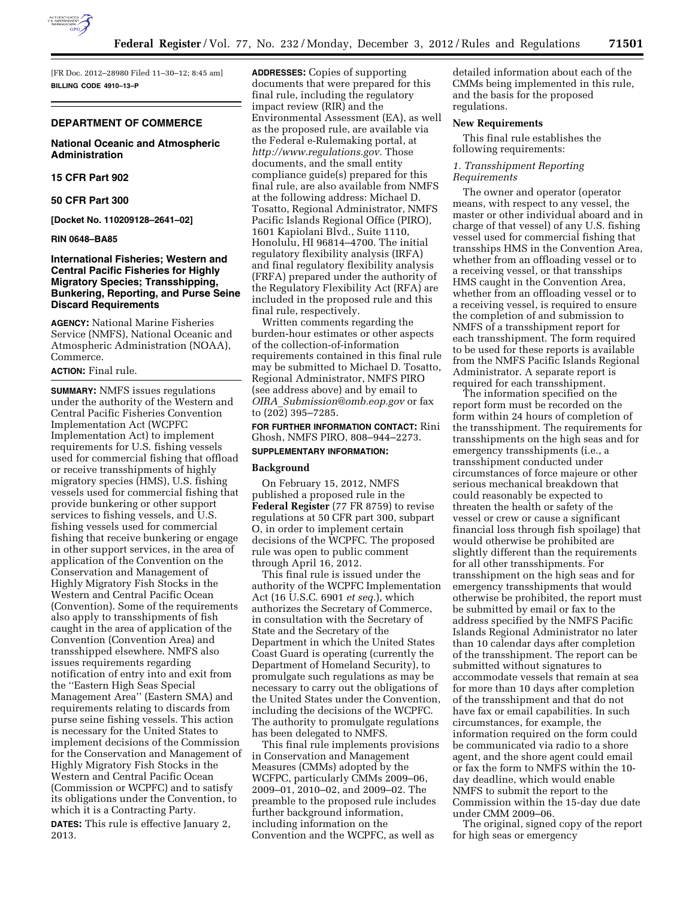

[FR Doc. 2012–28980 Filed 11–30–12; 8:45 am] **BILLING CODE 4910–13–P** 

### **DEPARTMENT OF COMMERCE**

### **National Oceanic and Atmospheric Administration**

## **15 CFR Part 902**

**50 CFR Part 300** 

**[Docket No. 110209128–2641–02]** 

#### **RIN 0648–BA85**

## **International Fisheries; Western and Central Pacific Fisheries for Highly Migratory Species; Transshipping, Bunkering, Reporting, and Purse Seine Discard Requirements**

**AGENCY:** National Marine Fisheries Service (NMFS), National Oceanic and Atmospheric Administration (NOAA), Commerce.

#### **ACTION:** Final rule.

**SUMMARY:** NMFS issues regulations under the authority of the Western and Central Pacific Fisheries Convention Implementation Act (WCPFC Implementation Act) to implement requirements for U.S. fishing vessels used for commercial fishing that offload or receive transshipments of highly migratory species (HMS), U.S. fishing vessels used for commercial fishing that provide bunkering or other support services to fishing vessels, and U.S. fishing vessels used for commercial fishing that receive bunkering or engage in other support services, in the area of application of the Convention on the Conservation and Management of Highly Migratory Fish Stocks in the Western and Central Pacific Ocean (Convention). Some of the requirements also apply to transshipments of fish caught in the area of application of the Convention (Convention Area) and transshipped elsewhere. NMFS also issues requirements regarding notification of entry into and exit from the ''Eastern High Seas Special Management Area'' (Eastern SMA) and requirements relating to discards from purse seine fishing vessels. This action is necessary for the United States to implement decisions of the Commission for the Conservation and Management of Highly Migratory Fish Stocks in the Western and Central Pacific Ocean (Commission or WCPFC) and to satisfy its obligations under the Convention, to which it is a Contracting Party.

**DATES:** This rule is effective January 2, 2013.

**ADDRESSES:** Copies of supporting documents that were prepared for this final rule, including the regulatory impact review (RIR) and the Environmental Assessment (EA), as well as the proposed rule, are available via the Federal e-Rulemaking portal, at *[http://www.regulations.gov.](http://www.regulations.gov)* Those documents, and the small entity compliance guide(s) prepared for this final rule, are also available from NMFS at the following address: Michael D. Tosatto, Regional Administrator, NMFS Pacific Islands Regional Office (PIRO), 1601 Kapiolani Blvd., Suite 1110, Honolulu, HI 96814–4700. The initial regulatory flexibility analysis (IRFA) and final regulatory flexibility analysis (FRFA) prepared under the authority of the Regulatory Flexibility Act (RFA) are included in the proposed rule and this final rule, respectively.

Written comments regarding the burden-hour estimates or other aspects of the collection-of-information requirements contained in this final rule may be submitted to Michael D. Tosatto, Regional Administrator, NMFS PIRO (see address above) and by email to *OIRA*\_*[Submission@omb.eop.gov](mailto:OIRA_Submission@omb.eop.gov)* or fax to (202) 395–7285.

# **FOR FURTHER INFORMATION CONTACT:** Rini Ghosh, NMFS PIRO, 808–944–2273.

#### **SUPPLEMENTARY INFORMATION:**

#### **Background**

On February 15, 2012, NMFS published a proposed rule in the **Federal Register** (77 FR 8759) to revise regulations at 50 CFR part 300, subpart O, in order to implement certain decisions of the WCPFC. The proposed rule was open to public comment through April 16, 2012.

This final rule is issued under the authority of the WCPFC Implementation Act (16 U.S.C. 6901 *et seq.*), which authorizes the Secretary of Commerce, in consultation with the Secretary of State and the Secretary of the Department in which the United States Coast Guard is operating (currently the Department of Homeland Security), to promulgate such regulations as may be necessary to carry out the obligations of the United States under the Convention, including the decisions of the WCPFC. The authority to promulgate regulations has been delegated to NMFS.

This final rule implements provisions in Conservation and Management Measures (CMMs) adopted by the WCFPC, particularly CMMs 2009–06, 2009–01, 2010–02, and 2009–02. The preamble to the proposed rule includes further background information, including information on the Convention and the WCPFC, as well as

detailed information about each of the CMMs being implemented in this rule, and the basis for the proposed regulations.

### **New Requirements**

This final rule establishes the following requirements:

### *1. Transshipment Reporting Requirements*

The owner and operator (operator means, with respect to any vessel, the master or other individual aboard and in charge of that vessel) of any U.S. fishing vessel used for commercial fishing that transships HMS in the Convention Area, whether from an offloading vessel or to a receiving vessel, or that transships HMS caught in the Convention Area, whether from an offloading vessel or to a receiving vessel, is required to ensure the completion of and submission to NMFS of a transshipment report for each transshipment. The form required to be used for these reports is available from the NMFS Pacific Islands Regional Administrator. A separate report is required for each transshipment.

The information specified on the report form must be recorded on the form within 24 hours of completion of the transshipment. The requirements for transshipments on the high seas and for emergency transshipments (i.e., a transshipment conducted under circumstances of force majeure or other serious mechanical breakdown that could reasonably be expected to threaten the health or safety of the vessel or crew or cause a significant financial loss through fish spoilage) that would otherwise be prohibited are slightly different than the requirements for all other transshipments. For transshipment on the high seas and for emergency transshipments that would otherwise be prohibited, the report must be submitted by email or fax to the address specified by the NMFS Pacific Islands Regional Administrator no later than 10 calendar days after completion of the transshipment. The report can be submitted without signatures to accommodate vessels that remain at sea for more than 10 days after completion of the transshipment and that do not have fax or email capabilities. In such circumstances, for example, the information required on the form could be communicated via radio to a shore agent, and the shore agent could email or fax the form to NMFS within the 10 day deadline, which would enable NMFS to submit the report to the Commission within the 15-day due date under CMM 2009–06.

The original, signed copy of the report for high seas or emergency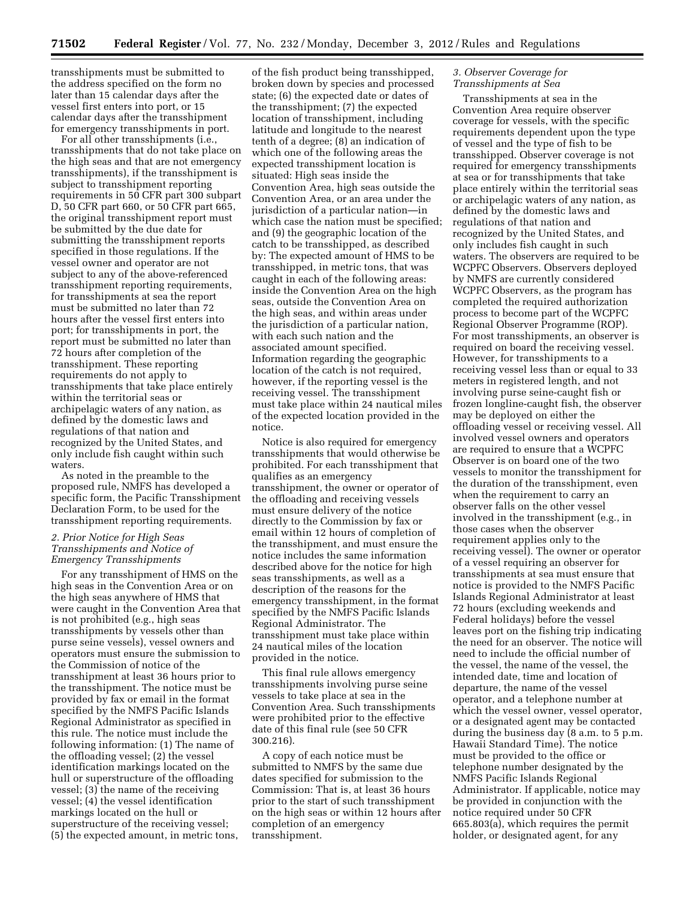transshipments must be submitted to the address specified on the form no later than 15 calendar days after the vessel first enters into port, or 15 calendar days after the transshipment for emergency transshipments in port.

For all other transshipments (i.e., transshipments that do not take place on the high seas and that are not emergency transshipments), if the transshipment is subject to transshipment reporting requirements in 50 CFR part 300 subpart D, 50 CFR part 660, or 50 CFR part 665, the original transshipment report must be submitted by the due date for submitting the transshipment reports specified in those regulations. If the vessel owner and operator are not subject to any of the above-referenced transshipment reporting requirements, for transshipments at sea the report must be submitted no later than 72 hours after the vessel first enters into port; for transshipments in port, the report must be submitted no later than 72 hours after completion of the transshipment. These reporting requirements do not apply to transshipments that take place entirely within the territorial seas or archipelagic waters of any nation, as defined by the domestic laws and regulations of that nation and recognized by the United States, and only include fish caught within such waters.

As noted in the preamble to the proposed rule, NMFS has developed a specific form, the Pacific Transshipment Declaration Form, to be used for the transshipment reporting requirements.

### *2. Prior Notice for High Seas Transshipments and Notice of Emergency Transshipments*

For any transshipment of HMS on the high seas in the Convention Area or on the high seas anywhere of HMS that were caught in the Convention Area that is not prohibited (e.g., high seas transshipments by vessels other than purse seine vessels), vessel owners and operators must ensure the submission to the Commission of notice of the transshipment at least 36 hours prior to the transshipment. The notice must be provided by fax or email in the format specified by the NMFS Pacific Islands Regional Administrator as specified in this rule. The notice must include the following information: (1) The name of the offloading vessel; (2) the vessel identification markings located on the hull or superstructure of the offloading vessel; (3) the name of the receiving vessel; (4) the vessel identification markings located on the hull or superstructure of the receiving vessel; (5) the expected amount, in metric tons,

of the fish product being transshipped, broken down by species and processed state; (6) the expected date or dates of the transshipment; (7) the expected location of transshipment, including latitude and longitude to the nearest tenth of a degree; (8) an indication of which one of the following areas the expected transshipment location is situated: High seas inside the Convention Area, high seas outside the Convention Area, or an area under the jurisdiction of a particular nation—in which case the nation must be specified; and (9) the geographic location of the catch to be transshipped, as described by: The expected amount of HMS to be transshipped, in metric tons, that was caught in each of the following areas: inside the Convention Area on the high seas, outside the Convention Area on the high seas, and within areas under the jurisdiction of a particular nation, with each such nation and the associated amount specified. Information regarding the geographic location of the catch is not required, however, if the reporting vessel is the receiving vessel. The transshipment must take place within 24 nautical miles of the expected location provided in the notice.

Notice is also required for emergency transshipments that would otherwise be prohibited. For each transshipment that qualifies as an emergency transshipment, the owner or operator of the offloading and receiving vessels must ensure delivery of the notice directly to the Commission by fax or email within 12 hours of completion of the transshipment, and must ensure the notice includes the same information described above for the notice for high seas transshipments, as well as a description of the reasons for the emergency transshipment, in the format specified by the NMFS Pacific Islands Regional Administrator. The transshipment must take place within 24 nautical miles of the location provided in the notice.

This final rule allows emergency transshipments involving purse seine vessels to take place at sea in the Convention Area. Such transshipments were prohibited prior to the effective date of this final rule (see 50 CFR 300.216).

A copy of each notice must be submitted to NMFS by the same due dates specified for submission to the Commission: That is, at least 36 hours prior to the start of such transshipment on the high seas or within 12 hours after completion of an emergency transshipment.

#### *3. Observer Coverage for Transshipments at Sea*

Transshipments at sea in the Convention Area require observer coverage for vessels, with the specific requirements dependent upon the type of vessel and the type of fish to be transshipped. Observer coverage is not required for emergency transshipments at sea or for transshipments that take place entirely within the territorial seas or archipelagic waters of any nation, as defined by the domestic laws and regulations of that nation and recognized by the United States, and only includes fish caught in such waters. The observers are required to be WCPFC Observers. Observers deployed by NMFS are currently considered WCPFC Observers, as the program has completed the required authorization process to become part of the WCPFC Regional Observer Programme (ROP). For most transshipments, an observer is required on board the receiving vessel. However, for transshipments to a receiving vessel less than or equal to 33 meters in registered length, and not involving purse seine-caught fish or frozen longline-caught fish, the observer may be deployed on either the offloading vessel or receiving vessel. All involved vessel owners and operators are required to ensure that a WCPFC Observer is on board one of the two vessels to monitor the transshipment for the duration of the transshipment, even when the requirement to carry an observer falls on the other vessel involved in the transshipment (e.g., in those cases when the observer requirement applies only to the receiving vessel). The owner or operator of a vessel requiring an observer for transshipments at sea must ensure that notice is provided to the NMFS Pacific Islands Regional Administrator at least 72 hours (excluding weekends and Federal holidays) before the vessel leaves port on the fishing trip indicating the need for an observer. The notice will need to include the official number of the vessel, the name of the vessel, the intended date, time and location of departure, the name of the vessel operator, and a telephone number at which the vessel owner, vessel operator, or a designated agent may be contacted during the business day (8 a.m. to 5 p.m. Hawaii Standard Time). The notice must be provided to the office or telephone number designated by the NMFS Pacific Islands Regional Administrator. If applicable, notice may be provided in conjunction with the notice required under 50 CFR 665.803(a), which requires the permit holder, or designated agent, for any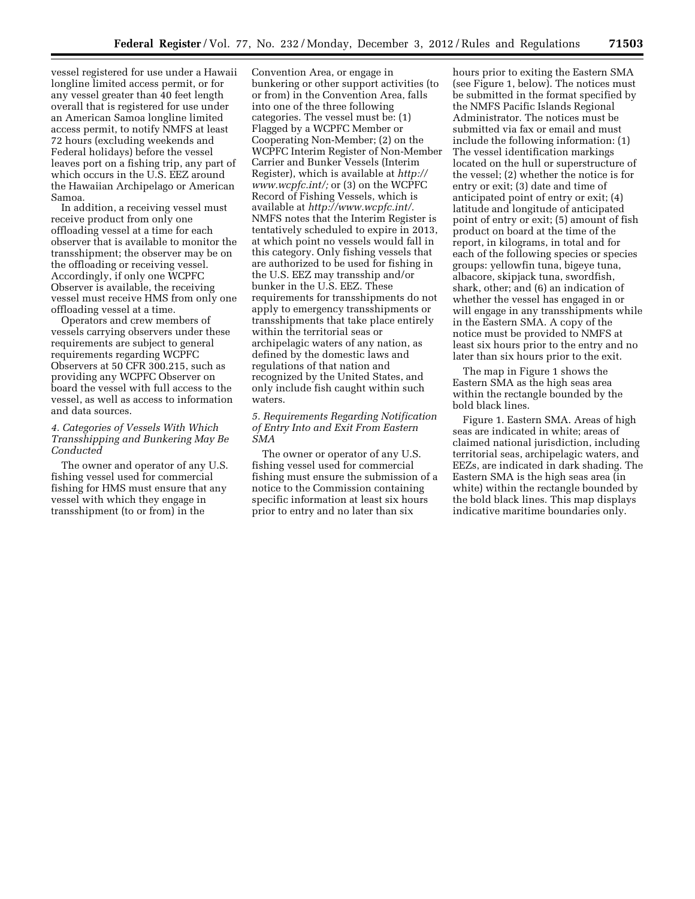vessel registered for use under a Hawaii longline limited access permit, or for any vessel greater than 40 feet length overall that is registered for use under an American Samoa longline limited access permit, to notify NMFS at least 72 hours (excluding weekends and Federal holidays) before the vessel leaves port on a fishing trip, any part of which occurs in the U.S. EEZ around the Hawaiian Archipelago or American Samoa.

In addition, a receiving vessel must receive product from only one offloading vessel at a time for each observer that is available to monitor the transshipment; the observer may be on the offloading or receiving vessel. Accordingly, if only one WCPFC Observer is available, the receiving vessel must receive HMS from only one offloading vessel at a time.

Operators and crew members of vessels carrying observers under these requirements are subject to general requirements regarding WCPFC Observers at 50 CFR 300.215, such as providing any WCPFC Observer on board the vessel with full access to the vessel, as well as access to information and data sources.

### *4. Categories of Vessels With Which Transshipping and Bunkering May Be Conducted*

The owner and operator of any U.S. fishing vessel used for commercial fishing for HMS must ensure that any vessel with which they engage in transshipment (to or from) in the

Convention Area, or engage in bunkering or other support activities (to or from) in the Convention Area, falls into one of the three following categories. The vessel must be: (1) Flagged by a WCPFC Member or Cooperating Non-Member; (2) on the WCPFC Interim Register of Non-Member Carrier and Bunker Vessels (Interim Register), which is available at *[http://](http://www.wcpfc.int/)  [www.wcpfc.int/;](http://www.wcpfc.int/)* or (3) on the WCPFC Record of Fishing Vessels, which is available at *[http://www.wcpfc.int/.](http://www.wcpfc.int/)*  NMFS notes that the Interim Register is tentatively scheduled to expire in 2013, at which point no vessels would fall in this category. Only fishing vessels that are authorized to be used for fishing in the U.S. EEZ may transship and/or bunker in the U.S. EEZ. These requirements for transshipments do not apply to emergency transshipments or transshipments that take place entirely within the territorial seas or archipelagic waters of any nation, as defined by the domestic laws and regulations of that nation and recognized by the United States, and only include fish caught within such waters

*5. Requirements Regarding Notification of Entry Into and Exit From Eastern SMA* 

The owner or operator of any U.S. fishing vessel used for commercial fishing must ensure the submission of a notice to the Commission containing specific information at least six hours prior to entry and no later than six

hours prior to exiting the Eastern SMA (see Figure 1, below). The notices must be submitted in the format specified by the NMFS Pacific Islands Regional Administrator. The notices must be submitted via fax or email and must include the following information: (1) The vessel identification markings located on the hull or superstructure of the vessel; (2) whether the notice is for entry or exit; (3) date and time of anticipated point of entry or exit; (4) latitude and longitude of anticipated point of entry or exit; (5) amount of fish product on board at the time of the report, in kilograms, in total and for each of the following species or species groups: yellowfin tuna, bigeye tuna, albacore, skipjack tuna, swordfish, shark, other; and (6) an indication of whether the vessel has engaged in or will engage in any transshipments while in the Eastern SMA. A copy of the notice must be provided to NMFS at least six hours prior to the entry and no later than six hours prior to the exit.

The map in Figure 1 shows the Eastern SMA as the high seas area within the rectangle bounded by the bold black lines.

Figure 1. Eastern SMA. Areas of high seas are indicated in white; areas of claimed national jurisdiction, including territorial seas, archipelagic waters, and EEZs, are indicated in dark shading. The Eastern SMA is the high seas area (in white) within the rectangle bounded by the bold black lines. This map displays indicative maritime boundaries only.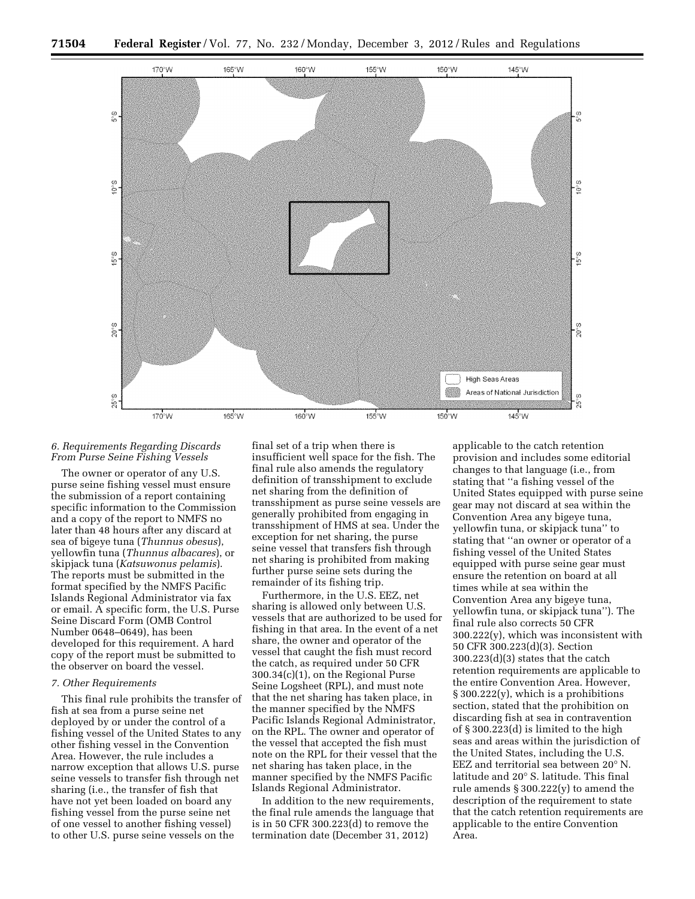

### *6. Requirements Regarding Discards From Purse Seine Fishing Vessels*

The owner or operator of any U.S. purse seine fishing vessel must ensure the submission of a report containing specific information to the Commission and a copy of the report to NMFS no later than 48 hours after any discard at sea of bigeye tuna (*Thunnus obesus*), yellowfin tuna (*Thunnus albacares*), or skipjack tuna (*Katsuwonus pelamis*). The reports must be submitted in the format specified by the NMFS Pacific Islands Regional Administrator via fax or email. A specific form, the U.S. Purse Seine Discard Form (OMB Control Number 0648–0649), has been developed for this requirement. A hard copy of the report must be submitted to the observer on board the vessel.

### *7. Other Requirements*

This final rule prohibits the transfer of fish at sea from a purse seine net deployed by or under the control of a fishing vessel of the United States to any other fishing vessel in the Convention Area. However, the rule includes a narrow exception that allows U.S. purse seine vessels to transfer fish through net sharing (i.e., the transfer of fish that have not yet been loaded on board any fishing vessel from the purse seine net of one vessel to another fishing vessel) to other U.S. purse seine vessels on the

final set of a trip when there is insufficient well space for the fish. The final rule also amends the regulatory definition of transshipment to exclude net sharing from the definition of transshipment as purse seine vessels are generally prohibited from engaging in transshipment of HMS at sea. Under the exception for net sharing, the purse seine vessel that transfers fish through net sharing is prohibited from making further purse seine sets during the remainder of its fishing trip.

Furthermore, in the U.S. EEZ, net sharing is allowed only between U.S. vessels that are authorized to be used for fishing in that area. In the event of a net share, the owner and operator of the vessel that caught the fish must record the catch, as required under 50 CFR 300.34(c)(1), on the Regional Purse Seine Logsheet (RPL), and must note that the net sharing has taken place, in the manner specified by the NMFS Pacific Islands Regional Administrator, on the RPL. The owner and operator of the vessel that accepted the fish must note on the RPL for their vessel that the net sharing has taken place, in the manner specified by the NMFS Pacific Islands Regional Administrator.

In addition to the new requirements, the final rule amends the language that is in 50 CFR 300.223(d) to remove the termination date (December 31, 2012)

applicable to the catch retention provision and includes some editorial changes to that language (i.e., from stating that ''a fishing vessel of the United States equipped with purse seine gear may not discard at sea within the Convention Area any bigeye tuna, yellowfin tuna, or skipjack tuna'' to stating that ''an owner or operator of a fishing vessel of the United States equipped with purse seine gear must ensure the retention on board at all times while at sea within the Convention Area any bigeye tuna, yellowfin tuna, or skipjack tuna''). The final rule also corrects 50 CFR 300.222(y), which was inconsistent with 50 CFR 300.223(d)(3). Section 300.223(d)(3) states that the catch retention requirements are applicable to the entire Convention Area. However,  $\S 300.222(y)$ , which is a prohibitions section, stated that the prohibition on discarding fish at sea in contravention of § 300.223(d) is limited to the high seas and areas within the jurisdiction of the United States, including the U.S. EEZ and territorial sea between 20° N. latitude and 20° S. latitude. This final rule amends § 300.222(y) to amend the description of the requirement to state that the catch retention requirements are applicable to the entire Convention Area.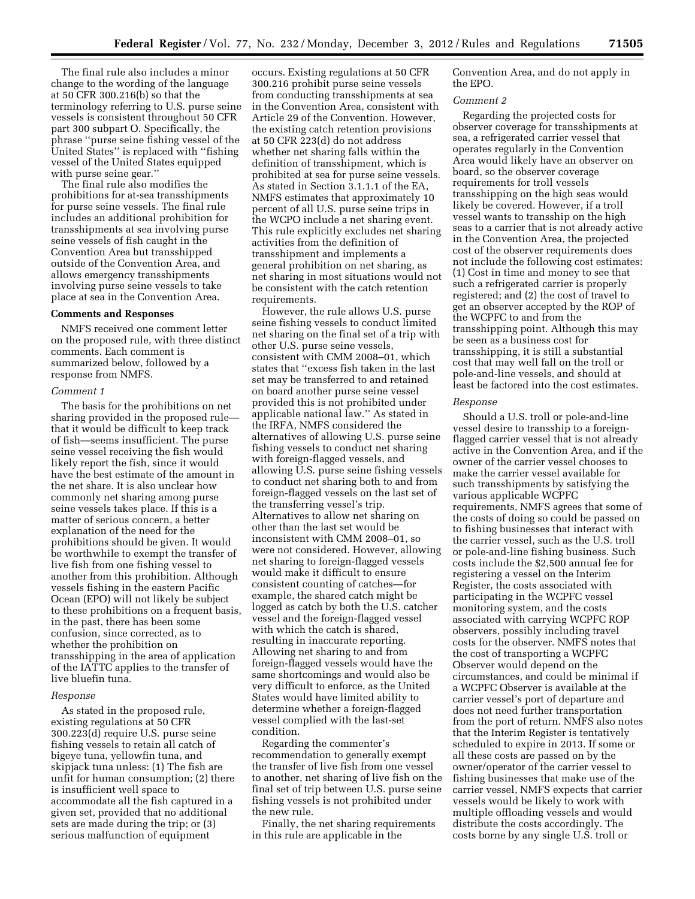The final rule also includes a minor change to the wording of the language at 50 CFR 300.216(b) so that the terminology referring to U.S. purse seine vessels is consistent throughout 50 CFR part 300 subpart O. Specifically, the phrase ''purse seine fishing vessel of the United States'' is replaced with ''fishing vessel of the United States equipped with purse seine gear.'

The final rule also modifies the prohibitions for at-sea transshipments for purse seine vessels. The final rule includes an additional prohibition for transshipments at sea involving purse seine vessels of fish caught in the Convention Area but transshipped outside of the Convention Area, and allows emergency transshipments involving purse seine vessels to take place at sea in the Convention Area.

#### **Comments and Responses**

NMFS received one comment letter on the proposed rule, with three distinct comments. Each comment is summarized below, followed by a response from NMFS.

#### *Comment 1*

The basis for the prohibitions on net sharing provided in the proposed rule that it would be difficult to keep track of fish—seems insufficient. The purse seine vessel receiving the fish would likely report the fish, since it would have the best estimate of the amount in the net share. It is also unclear how commonly net sharing among purse seine vessels takes place. If this is a matter of serious concern, a better explanation of the need for the prohibitions should be given. It would be worthwhile to exempt the transfer of live fish from one fishing vessel to another from this prohibition. Although vessels fishing in the eastern Pacific Ocean (EPO) will not likely be subject to these prohibitions on a frequent basis, in the past, there has been some confusion, since corrected, as to whether the prohibition on transshipping in the area of application of the IATTC applies to the transfer of live bluefin tuna.

#### *Response*

As stated in the proposed rule, existing regulations at 50 CFR 300.223(d) require U.S. purse seine fishing vessels to retain all catch of bigeye tuna, yellowfin tuna, and skipjack tuna unless: (1) The fish are unfit for human consumption; (2) there is insufficient well space to accommodate all the fish captured in a given set, provided that no additional sets are made during the trip; or (3) serious malfunction of equipment

occurs. Existing regulations at 50 CFR 300.216 prohibit purse seine vessels from conducting transshipments at sea in the Convention Area, consistent with Article 29 of the Convention. However, the existing catch retention provisions at 50 CFR 223(d) do not address whether net sharing falls within the definition of transshipment, which is prohibited at sea for purse seine vessels. As stated in Section 3.1.1.1 of the EA, NMFS estimates that approximately 10 percent of all U.S. purse seine trips in the WCPO include a net sharing event. This rule explicitly excludes net sharing activities from the definition of transshipment and implements a general prohibition on net sharing, as net sharing in most situations would not be consistent with the catch retention requirements.

However, the rule allows U.S. purse seine fishing vessels to conduct limited net sharing on the final set of a trip with other U.S. purse seine vessels, consistent with CMM 2008–01, which states that ''excess fish taken in the last set may be transferred to and retained on board another purse seine vessel provided this is not prohibited under applicable national law.'' As stated in the IRFA, NMFS considered the alternatives of allowing U.S. purse seine fishing vessels to conduct net sharing with foreign-flagged vessels, and allowing U.S. purse seine fishing vessels to conduct net sharing both to and from foreign-flagged vessels on the last set of the transferring vessel's trip. Alternatives to allow net sharing on other than the last set would be inconsistent with CMM 2008–01, so were not considered. However, allowing net sharing to foreign-flagged vessels would make it difficult to ensure consistent counting of catches—for example, the shared catch might be logged as catch by both the U.S. catcher vessel and the foreign-flagged vessel with which the catch is shared, resulting in inaccurate reporting. Allowing net sharing to and from foreign-flagged vessels would have the same shortcomings and would also be very difficult to enforce, as the United States would have limited ability to determine whether a foreign-flagged vessel complied with the last-set condition.

Regarding the commenter's recommendation to generally exempt the transfer of live fish from one vessel to another, net sharing of live fish on the final set of trip between U.S. purse seine fishing vessels is not prohibited under the new rule.

Finally, the net sharing requirements in this rule are applicable in the

Convention Area, and do not apply in the EPO.

#### *Comment 2*

Regarding the projected costs for observer coverage for transshipments at sea, a refrigerated carrier vessel that operates regularly in the Convention Area would likely have an observer on board, so the observer coverage requirements for troll vessels transshipping on the high seas would likely be covered. However, if a troll vessel wants to transship on the high seas to a carrier that is not already active in the Convention Area, the projected cost of the observer requirements does not include the following cost estimates: (1) Cost in time and money to see that such a refrigerated carrier is properly registered; and (2) the cost of travel to get an observer accepted by the ROP of the WCPFC to and from the transshipping point. Although this may be seen as a business cost for transshipping, it is still a substantial cost that may well fall on the troll or pole-and-line vessels, and should at least be factored into the cost estimates.

#### *Response*

Should a U.S. troll or pole-and-line vessel desire to transship to a foreignflagged carrier vessel that is not already active in the Convention Area, and if the owner of the carrier vessel chooses to make the carrier vessel available for such transshipments by satisfying the various applicable WCPFC requirements, NMFS agrees that some of the costs of doing so could be passed on to fishing businesses that interact with the carrier vessel, such as the U.S. troll or pole-and-line fishing business. Such costs include the \$2,500 annual fee for registering a vessel on the Interim Register, the costs associated with participating in the WCPFC vessel monitoring system, and the costs associated with carrying WCPFC ROP observers, possibly including travel costs for the observer. NMFS notes that the cost of transporting a WCPFC Observer would depend on the circumstances, and could be minimal if a WCPFC Observer is available at the carrier vessel's port of departure and does not need further transportation from the port of return. NMFS also notes that the Interim Register is tentatively scheduled to expire in 2013. If some or all these costs are passed on by the owner/operator of the carrier vessel to fishing businesses that make use of the carrier vessel, NMFS expects that carrier vessels would be likely to work with multiple offloading vessels and would distribute the costs accordingly. The costs borne by any single U.S. troll or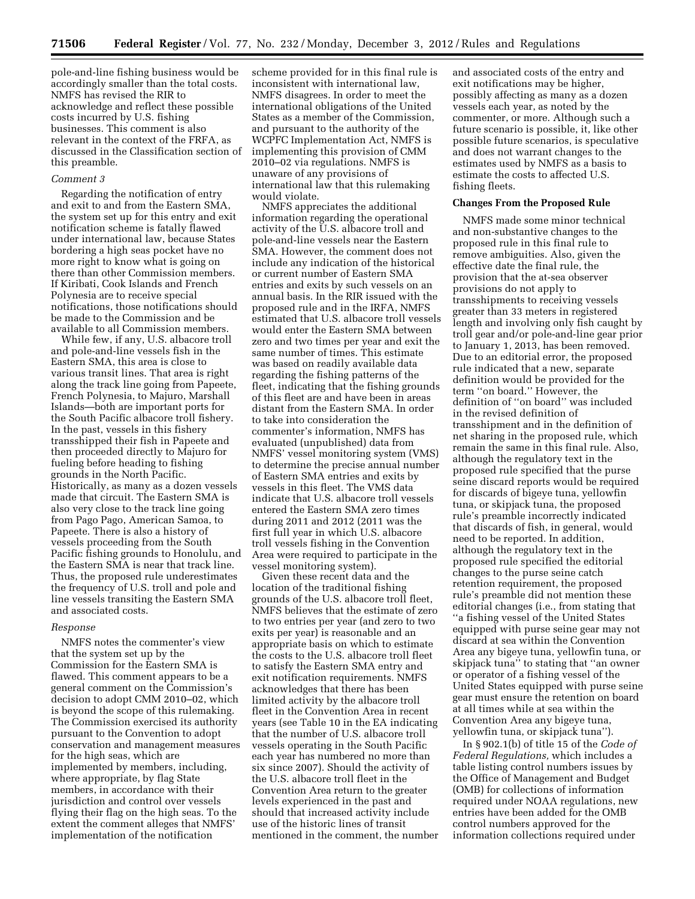pole-and-line fishing business would be accordingly smaller than the total costs. NMFS has revised the RIR to acknowledge and reflect these possible costs incurred by U.S. fishing businesses. This comment is also relevant in the context of the FRFA, as discussed in the Classification section of this preamble.

### *Comment 3*

Regarding the notification of entry and exit to and from the Eastern SMA, the system set up for this entry and exit notification scheme is fatally flawed under international law, because States bordering a high seas pocket have no more right to know what is going on there than other Commission members. If Kiribati, Cook Islands and French Polynesia are to receive special notifications, those notifications should be made to the Commission and be available to all Commission members.

While few, if any, U.S. albacore troll and pole-and-line vessels fish in the Eastern SMA, this area is close to various transit lines. That area is right along the track line going from Papeete, French Polynesia, to Majuro, Marshall Islands—both are important ports for the South Pacific albacore troll fishery. In the past, vessels in this fishery transshipped their fish in Papeete and then proceeded directly to Majuro for fueling before heading to fishing grounds in the North Pacific. Historically, as many as a dozen vessels made that circuit. The Eastern SMA is also very close to the track line going from Pago Pago, American Samoa, to Papeete. There is also a history of vessels proceeding from the South Pacific fishing grounds to Honolulu, and the Eastern SMA is near that track line. Thus, the proposed rule underestimates the frequency of U.S. troll and pole and line vessels transiting the Eastern SMA and associated costs.

#### *Response*

NMFS notes the commenter's view that the system set up by the Commission for the Eastern SMA is flawed. This comment appears to be a general comment on the Commission's decision to adopt CMM 2010–02, which is beyond the scope of this rulemaking. The Commission exercised its authority pursuant to the Convention to adopt conservation and management measures for the high seas, which are implemented by members, including, where appropriate, by flag State members, in accordance with their jurisdiction and control over vessels flying their flag on the high seas. To the extent the comment alleges that NMFS' implementation of the notification

scheme provided for in this final rule is inconsistent with international law, NMFS disagrees. In order to meet the international obligations of the United States as a member of the Commission, and pursuant to the authority of the WCPFC Implementation Act, NMFS is implementing this provision of CMM 2010–02 via regulations. NMFS is unaware of any provisions of international law that this rulemaking would violate.

NMFS appreciates the additional information regarding the operational activity of the U.S. albacore troll and pole-and-line vessels near the Eastern SMA. However, the comment does not include any indication of the historical or current number of Eastern SMA entries and exits by such vessels on an annual basis. In the RIR issued with the proposed rule and in the IRFA, NMFS estimated that U.S. albacore troll vessels would enter the Eastern SMA between zero and two times per year and exit the same number of times. This estimate was based on readily available data regarding the fishing patterns of the fleet, indicating that the fishing grounds of this fleet are and have been in areas distant from the Eastern SMA. In order to take into consideration the commenter's information, NMFS has evaluated (unpublished) data from NMFS' vessel monitoring system (VMS) to determine the precise annual number of Eastern SMA entries and exits by vessels in this fleet. The VMS data indicate that U.S. albacore troll vessels entered the Eastern SMA zero times during 2011 and 2012 (2011 was the first full year in which U.S. albacore troll vessels fishing in the Convention Area were required to participate in the vessel monitoring system).

Given these recent data and the location of the traditional fishing grounds of the U.S. albacore troll fleet, NMFS believes that the estimate of zero to two entries per year (and zero to two exits per year) is reasonable and an appropriate basis on which to estimate the costs to the U.S. albacore troll fleet to satisfy the Eastern SMA entry and exit notification requirements. NMFS acknowledges that there has been limited activity by the albacore troll fleet in the Convention Area in recent years (see Table 10 in the EA indicating that the number of U.S. albacore troll vessels operating in the South Pacific each year has numbered no more than six since 2007). Should the activity of the U.S. albacore troll fleet in the Convention Area return to the greater levels experienced in the past and should that increased activity include use of the historic lines of transit mentioned in the comment, the number and associated costs of the entry and exit notifications may be higher, possibly affecting as many as a dozen vessels each year, as noted by the commenter, or more. Although such a future scenario is possible, it, like other possible future scenarios, is speculative and does not warrant changes to the estimates used by NMFS as a basis to estimate the costs to affected U.S. fishing fleets.

#### **Changes From the Proposed Rule**

NMFS made some minor technical and non-substantive changes to the proposed rule in this final rule to remove ambiguities. Also, given the effective date the final rule, the provision that the at-sea observer provisions do not apply to transshipments to receiving vessels greater than 33 meters in registered length and involving only fish caught by troll gear and/or pole-and-line gear prior to January 1, 2013, has been removed. Due to an editorial error, the proposed rule indicated that a new, separate definition would be provided for the term ''on board.'' However, the definition of ''on board'' was included in the revised definition of transshipment and in the definition of net sharing in the proposed rule, which remain the same in this final rule. Also, although the regulatory text in the proposed rule specified that the purse seine discard reports would be required for discards of bigeye tuna, yellowfin tuna, or skipjack tuna, the proposed rule's preamble incorrectly indicated that discards of fish, in general, would need to be reported. In addition, although the regulatory text in the proposed rule specified the editorial changes to the purse seine catch retention requirement, the proposed rule's preamble did not mention these editorial changes (i.e., from stating that ''a fishing vessel of the United States equipped with purse seine gear may not discard at sea within the Convention Area any bigeye tuna, yellowfin tuna, or skipjack tuna'' to stating that ''an owner or operator of a fishing vessel of the United States equipped with purse seine gear must ensure the retention on board at all times while at sea within the Convention Area any bigeye tuna, yellowfin tuna, or skipjack tuna'').

In § 902.1(b) of title 15 of the *Code of Federal Regulations,* which includes a table listing control numbers issues by the Office of Management and Budget (OMB) for collections of information required under NOAA regulations, new entries have been added for the OMB control numbers approved for the information collections required under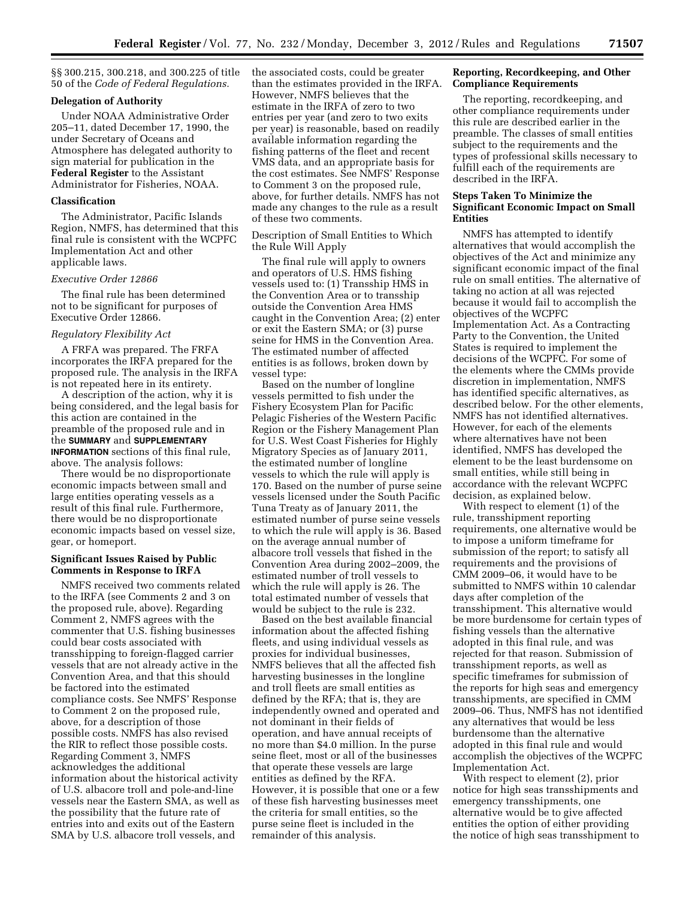§§ 300.215, 300.218, and 300.225 of title 50 of the *Code of Federal Regulations.* 

### **Delegation of Authority**

Under NOAA Administrative Order 205–11, dated December 17, 1990, the under Secretary of Oceans and Atmosphere has delegated authority to sign material for publication in the **Federal Register** to the Assistant Administrator for Fisheries, NOAA.

#### **Classification**

The Administrator, Pacific Islands Region, NMFS, has determined that this final rule is consistent with the WCPFC Implementation Act and other applicable laws.

### *Executive Order 12866*

The final rule has been determined not to be significant for purposes of Executive Order 12866.

#### *Regulatory Flexibility Act*

A FRFA was prepared. The FRFA incorporates the IRFA prepared for the proposed rule. The analysis in the IRFA is not repeated here in its entirety.

A description of the action, why it is being considered, and the legal basis for this action are contained in the preamble of the proposed rule and in the **SUMMARY** and **SUPPLEMENTARY INFORMATION** sections of this final rule, above. The analysis follows:

There would be no disproportionate economic impacts between small and large entities operating vessels as a result of this final rule. Furthermore, there would be no disproportionate economic impacts based on vessel size, gear, or homeport.

### **Significant Issues Raised by Public Comments in Response to IRFA**

NMFS received two comments related to the IRFA (see Comments 2 and 3 on the proposed rule, above). Regarding Comment 2, NMFS agrees with the commenter that U.S. fishing businesses could bear costs associated with transshipping to foreign-flagged carrier vessels that are not already active in the Convention Area, and that this should be factored into the estimated compliance costs. See NMFS' Response to Comment 2 on the proposed rule, above, for a description of those possible costs. NMFS has also revised the RIR to reflect those possible costs. Regarding Comment 3, NMFS acknowledges the additional information about the historical activity of U.S. albacore troll and pole-and-line vessels near the Eastern SMA, as well as the possibility that the future rate of entries into and exits out of the Eastern SMA by U.S. albacore troll vessels, and

the associated costs, could be greater than the estimates provided in the IRFA. However, NMFS believes that the estimate in the IRFA of zero to two entries per year (and zero to two exits per year) is reasonable, based on readily available information regarding the fishing patterns of the fleet and recent VMS data, and an appropriate basis for the cost estimates. See NMFS' Response to Comment 3 on the proposed rule, above, for further details. NMFS has not made any changes to the rule as a result of these two comments.

Description of Small Entities to Which the Rule Will Apply

The final rule will apply to owners and operators of U.S. HMS fishing vessels used to: (1) Transship HMS in the Convention Area or to transship outside the Convention Area HMS caught in the Convention Area; (2) enter or exit the Eastern SMA; or (3) purse seine for HMS in the Convention Area. The estimated number of affected entities is as follows, broken down by vessel type:

Based on the number of longline vessels permitted to fish under the Fishery Ecosystem Plan for Pacific Pelagic Fisheries of the Western Pacific Region or the Fishery Management Plan for U.S. West Coast Fisheries for Highly Migratory Species as of January 2011, the estimated number of longline vessels to which the rule will apply is 170. Based on the number of purse seine vessels licensed under the South Pacific Tuna Treaty as of January 2011, the estimated number of purse seine vessels to which the rule will apply is 36. Based on the average annual number of albacore troll vessels that fished in the Convention Area during 2002–2009, the estimated number of troll vessels to which the rule will apply is 26. The total estimated number of vessels that would be subject to the rule is 232.

Based on the best available financial information about the affected fishing fleets, and using individual vessels as proxies for individual businesses, NMFS believes that all the affected fish harvesting businesses in the longline and troll fleets are small entities as defined by the RFA; that is, they are independently owned and operated and not dominant in their fields of operation, and have annual receipts of no more than \$4.0 million. In the purse seine fleet, most or all of the businesses that operate these vessels are large entities as defined by the RFA. However, it is possible that one or a few of these fish harvesting businesses meet the criteria for small entities, so the purse seine fleet is included in the remainder of this analysis.

### **Reporting, Recordkeeping, and Other Compliance Requirements**

The reporting, recordkeeping, and other compliance requirements under this rule are described earlier in the preamble. The classes of small entities subject to the requirements and the types of professional skills necessary to fulfill each of the requirements are described in the IRFA.

### **Steps Taken To Minimize the Significant Economic Impact on Small Entities**

NMFS has attempted to identify alternatives that would accomplish the objectives of the Act and minimize any significant economic impact of the final rule on small entities. The alternative of taking no action at all was rejected because it would fail to accomplish the objectives of the WCPFC Implementation Act. As a Contracting Party to the Convention, the United States is required to implement the decisions of the WCPFC. For some of the elements where the CMMs provide discretion in implementation, NMFS has identified specific alternatives, as described below. For the other elements, NMFS has not identified alternatives. However, for each of the elements where alternatives have not been identified, NMFS has developed the element to be the least burdensome on small entities, while still being in accordance with the relevant WCPFC decision, as explained below.

With respect to element (1) of the rule, transshipment reporting requirements, one alternative would be to impose a uniform timeframe for submission of the report; to satisfy all requirements and the provisions of CMM 2009–06, it would have to be submitted to NMFS within 10 calendar days after completion of the transshipment. This alternative would be more burdensome for certain types of fishing vessels than the alternative adopted in this final rule, and was rejected for that reason. Submission of transshipment reports, as well as specific timeframes for submission of the reports for high seas and emergency transshipments, are specified in CMM 2009–06. Thus, NMFS has not identified any alternatives that would be less burdensome than the alternative adopted in this final rule and would accomplish the objectives of the WCPFC Implementation Act.

With respect to element (2), prior notice for high seas transshipments and emergency transshipments, one alternative would be to give affected entities the option of either providing the notice of high seas transshipment to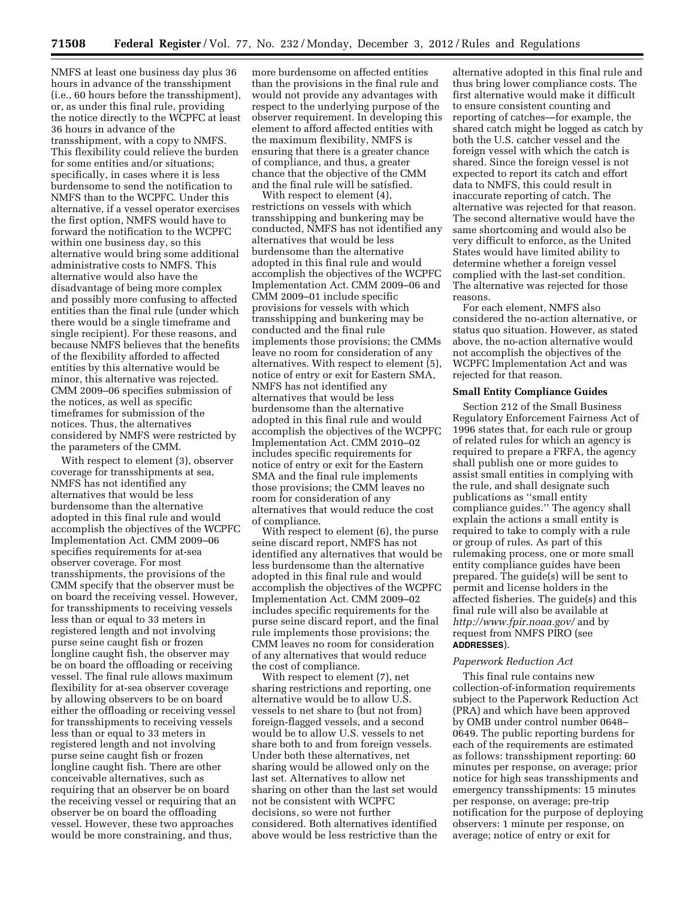NMFS at least one business day plus 36 hours in advance of the transshipment (i.e., 60 hours before the transshipment), or, as under this final rule, providing the notice directly to the WCPFC at least 36 hours in advance of the transshipment, with a copy to NMFS. This flexibility could relieve the burden for some entities and/or situations; specifically, in cases where it is less burdensome to send the notification to NMFS than to the WCPFC. Under this alternative, if a vessel operator exercises the first option, NMFS would have to forward the notification to the WCPFC within one business day, so this alternative would bring some additional administrative costs to NMFS. This alternative would also have the disadvantage of being more complex and possibly more confusing to affected entities than the final rule (under which there would be a single timeframe and single recipient). For these reasons, and because NMFS believes that the benefits of the flexibility afforded to affected entities by this alternative would be minor, this alternative was rejected. CMM 2009–06 specifies submission of the notices, as well as specific timeframes for submission of the notices. Thus, the alternatives considered by NMFS were restricted by the parameters of the CMM.

With respect to element (3), observer coverage for transshipments at sea, NMFS has not identified any alternatives that would be less burdensome than the alternative adopted in this final rule and would accomplish the objectives of the WCPFC Implementation Act. CMM 2009–06 specifies requirements for at-sea observer coverage. For most transshipments, the provisions of the CMM specify that the observer must be on board the receiving vessel. However, for transshipments to receiving vessels less than or equal to 33 meters in registered length and not involving purse seine caught fish or frozen longline caught fish, the observer may be on board the offloading or receiving vessel. The final rule allows maximum flexibility for at-sea observer coverage by allowing observers to be on board either the offloading or receiving vessel for transshipments to receiving vessels less than or equal to 33 meters in registered length and not involving purse seine caught fish or frozen longline caught fish. There are other conceivable alternatives, such as requiring that an observer be on board the receiving vessel or requiring that an observer be on board the offloading vessel. However, these two approaches would be more constraining, and thus,

more burdensome on affected entities than the provisions in the final rule and would not provide any advantages with respect to the underlying purpose of the observer requirement. In developing this element to afford affected entities with the maximum flexibility, NMFS is ensuring that there is a greater chance of compliance, and thus, a greater chance that the objective of the CMM and the final rule will be satisfied.

With respect to element (4), restrictions on vessels with which transshipping and bunkering may be conducted, NMFS has not identified any alternatives that would be less burdensome than the alternative adopted in this final rule and would accomplish the objectives of the WCPFC Implementation Act. CMM 2009–06 and CMM 2009–01 include specific provisions for vessels with which transshipping and bunkering may be conducted and the final rule implements those provisions; the CMMs leave no room for consideration of any alternatives. With respect to element (5), notice of entry or exit for Eastern SMA, NMFS has not identified any alternatives that would be less burdensome than the alternative adopted in this final rule and would accomplish the objectives of the WCPFC Implementation Act. CMM 2010–02 includes specific requirements for notice of entry or exit for the Eastern SMA and the final rule implements those provisions; the CMM leaves no room for consideration of any alternatives that would reduce the cost of compliance.

With respect to element (6), the purse seine discard report, NMFS has not identified any alternatives that would be less burdensome than the alternative adopted in this final rule and would accomplish the objectives of the WCPFC Implementation Act. CMM 2009–02 includes specific requirements for the purse seine discard report, and the final rule implements those provisions; the CMM leaves no room for consideration of any alternatives that would reduce the cost of compliance.

With respect to element (7), net sharing restrictions and reporting, one alternative would be to allow U.S. vessels to net share to (but not from) foreign-flagged vessels, and a second would be to allow U.S. vessels to net share both to and from foreign vessels. Under both these alternatives, net sharing would be allowed only on the last set. Alternatives to allow net sharing on other than the last set would not be consistent with WCPFC decisions, so were not further considered. Both alternatives identified above would be less restrictive than the

alternative adopted in this final rule and thus bring lower compliance costs. The first alternative would make it difficult to ensure consistent counting and reporting of catches—for example, the shared catch might be logged as catch by both the U.S. catcher vessel and the foreign vessel with which the catch is shared. Since the foreign vessel is not expected to report its catch and effort data to NMFS, this could result in inaccurate reporting of catch. The alternative was rejected for that reason. The second alternative would have the same shortcoming and would also be very difficult to enforce, as the United States would have limited ability to determine whether a foreign vessel complied with the last-set condition. The alternative was rejected for those reasons.

For each element, NMFS also considered the no-action alternative, or status quo situation. However, as stated above, the no-action alternative would not accomplish the objectives of the WCPFC Implementation Act and was rejected for that reason.

### **Small Entity Compliance Guides**

Section 212 of the Small Business Regulatory Enforcement Fairness Act of 1996 states that, for each rule or group of related rules for which an agency is required to prepare a FRFA, the agency shall publish one or more guides to assist small entities in complying with the rule, and shall designate such publications as ''small entity compliance guides.'' The agency shall explain the actions a small entity is required to take to comply with a rule or group of rules. As part of this rulemaking process, one or more small entity compliance guides have been prepared. The guide(s) will be sent to permit and license holders in the affected fisheries. The guide(s) and this final rule will also be available at *<http://www.fpir.noaa.gov/>*and by request from NMFS PIRO (see **ADDRESSES**).

#### *Paperwork Reduction Act*

This final rule contains new collection-of-information requirements subject to the Paperwork Reduction Act (PRA) and which have been approved by OMB under control number 0648– 0649. The public reporting burdens for each of the requirements are estimated as follows: transshipment reporting: 60 minutes per response, on average; prior notice for high seas transshipments and emergency transshipments: 15 minutes per response, on average; pre-trip notification for the purpose of deploying observers: 1 minute per response, on average; notice of entry or exit for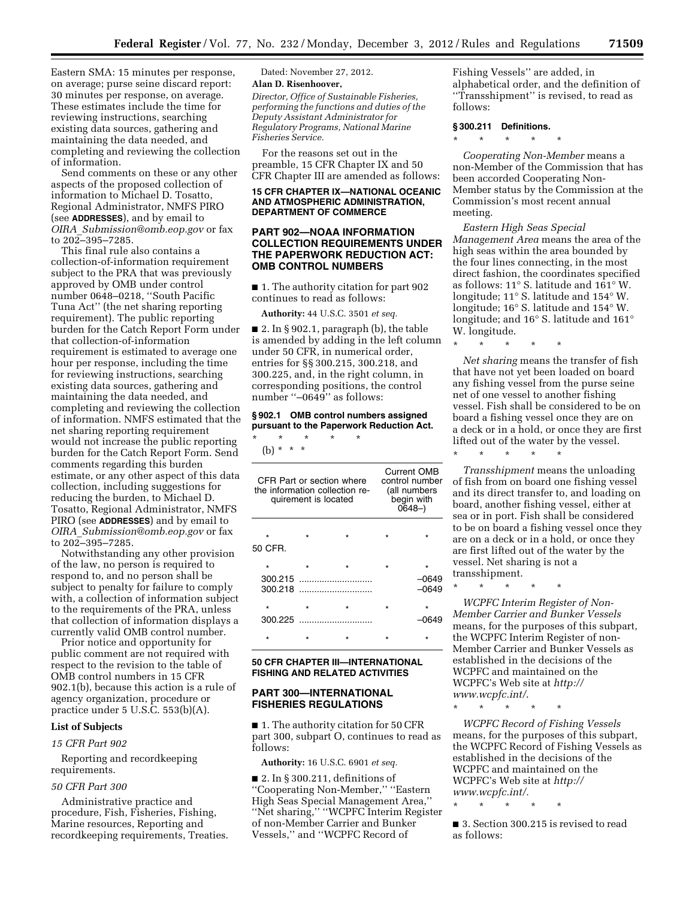Eastern SMA: 15 minutes per response, on average; purse seine discard report: 30 minutes per response, on average. These estimates include the time for reviewing instructions, searching existing data sources, gathering and maintaining the data needed, and completing and reviewing the collection of information.

Send comments on these or any other aspects of the proposed collection of information to Michael D. Tosatto, Regional Administrator, NMFS PIRO (see **ADDRESSES**), and by email to *OIRA*\_*[Submission@omb.eop.gov](mailto:OIRA_Submission@omb.eop.gov)* or fax to 202–395–7285.

This final rule also contains a collection-of-information requirement subject to the PRA that was previously approved by OMB under control number 0648–0218, ''South Pacific Tuna Act'' (the net sharing reporting requirement). The public reporting burden for the Catch Report Form under that collection-of-information requirement is estimated to average one hour per response, including the time for reviewing instructions, searching existing data sources, gathering and maintaining the data needed, and completing and reviewing the collection of information. NMFS estimated that the net sharing reporting requirement would not increase the public reporting burden for the Catch Report Form. Send comments regarding this burden estimate, or any other aspect of this data collection, including suggestions for reducing the burden, to Michael D. Tosatto, Regional Administrator, NMFS PIRO (see **ADDRESSES**) and by email to *OIRA*\_*[Submission@omb.eop.gov](mailto:OIRA_Submission@omb.eop.gov)* or fax to 202–395–7285.

Notwithstanding any other provision of the law, no person is required to respond to, and no person shall be subject to penalty for failure to comply with, a collection of information subject to the requirements of the PRA, unless that collection of information displays a currently valid OMB control number.

Prior notice and opportunity for public comment are not required with respect to the revision to the table of OMB control numbers in 15 CFR 902.1(b), because this action is a rule of agency organization, procedure or practice under 5 U.S.C. 553(b)(A).

#### **List of Subjects**

### *15 CFR Part 902*

Reporting and recordkeeping requirements.

#### *50 CFR Part 300*

Administrative practice and procedure, Fish, Fisheries, Fishing, Marine resources, Reporting and recordkeeping requirements, Treaties. Dated: November 27, 2012.

### **Alan D. Risenhoover,**

*Director, Office of Sustainable Fisheries, performing the functions and duties of the Deputy Assistant Administrator for Regulatory Programs, National Marine Fisheries Service.* 

For the reasons set out in the preamble, 15 CFR Chapter IX and 50 CFR Chapter III are amended as follows:

### **15 CFR CHAPTER IX—NATIONAL OCEANIC AND ATMOSPHERIC ADMINISTRATION, DEPARTMENT OF COMMERCE**

### **PART 902—NOAA INFORMATION COLLECTION REQUIREMENTS UNDER THE PAPERWORK REDUCTION ACT: OMB CONTROL NUMBERS**

■ 1. The authority citation for part 902 continues to read as follows:

**Authority:** 44 U.S.C. 3501 *et seq.* 

 $\blacksquare$  2. In § 902.1, paragraph (b), the table is amended by adding in the left column under 50 CFR, in numerical order, entries for §§ 300.215, 300.218, and 300.225, and, in the right column, in corresponding positions, the control number ''–0649'' as follows:

#### **§ 902.1 OMB control numbers assigned pursuant to the Paperwork Reduction Act.**

\* \* \* \* \* (b) \* \* \*

| CFR Part or section where<br>the information collection re-<br>quirement is located |         |         | Current OMB<br>control number<br>(all numbers<br>begin with<br>$0648-$ |                             |
|-------------------------------------------------------------------------------------|---------|---------|------------------------------------------------------------------------|-----------------------------|
| ÷<br>50 CFR.                                                                        |         | ÷       |                                                                        |                             |
| $\star$<br>300.215<br>300.218                                                       |         | $\star$ |                                                                        | $\star$<br>–0649<br>$-0649$ |
| $\star$<br>300.225                                                                  | $\star$ |         |                                                                        | $\star$<br>0649             |
|                                                                                     |         |         |                                                                        |                             |

#### **50 CFR CHAPTER III—INTERNATIONAL FISHING AND RELATED ACTIVITIES**

## **PART 300—INTERNATIONAL FISHERIES REGULATIONS**

■ 1. The authority citation for 50 CFR part 300, subpart O, continues to read as follows:

**Authority:** 16 U.S.C. 6901 *et seq.* 

 $\blacksquare$  2. In § 300.211, definitions of ''Cooperating Non-Member,'' ''Eastern High Seas Special Management Area,'' ''Net sharing,'' ''WCPFC Interim Register of non-Member Carrier and Bunker Vessels,'' and ''WCPFC Record of

Fishing Vessels'' are added, in alphabetical order, and the definition of ''Transshipment'' is revised, to read as follows:

# **§ 300.211 Definitions.**

\* \* \* \* \*

*Cooperating Non-Member* means a non-Member of the Commission that has been accorded Cooperating Non-Member status by the Commission at the Commission's most recent annual meeting.

*Eastern High Seas Special Management Area* means the area of the high seas within the area bounded by the four lines connecting, in the most direct fashion, the coordinates specified as follows: 11° S. latitude and 161° W. longitude; 11° S. latitude and 154° W. longitude; 16° S. latitude and 154° W. longitude; and 16° S. latitude and 161° W. longitude.

\* \* \* \* \*

*Net sharing* means the transfer of fish that have not yet been loaded on board any fishing vessel from the purse seine net of one vessel to another fishing vessel. Fish shall be considered to be on board a fishing vessel once they are on a deck or in a hold, or once they are first lifted out of the water by the vessel.

\* \* \* \* \*

*Transshipment* means the unloading of fish from on board one fishing vessel and its direct transfer to, and loading on board, another fishing vessel, either at sea or in port. Fish shall be considered to be on board a fishing vessel once they are on a deck or in a hold, or once they are first lifted out of the water by the vessel. Net sharing is not a transshipment.

\* \* \* \* \*

*WCPFC Interim Register of Non-Member Carrier and Bunker Vessels*  means, for the purposes of this subpart, the WCPFC Interim Register of non-Member Carrier and Bunker Vessels as established in the decisions of the WCPFC and maintained on the WCPFC's Web site at *[http://](http://www.wcpfc.int/) [www.wcpfc.int/](http://www.wcpfc.int/)*.

\* \* \* \* \*

*WCPFC Record of Fishing Vessels*  means, for the purposes of this subpart, the WCPFC Record of Fishing Vessels as established in the decisions of the WCPFC and maintained on the WCPFC's Web site at *[http://](http://www.wcpfc.int/) [www.wcpfc.int/.](http://www.wcpfc.int/)* 

\* \* \* \* \*

■ 3. Section 300.215 is revised to read as follows: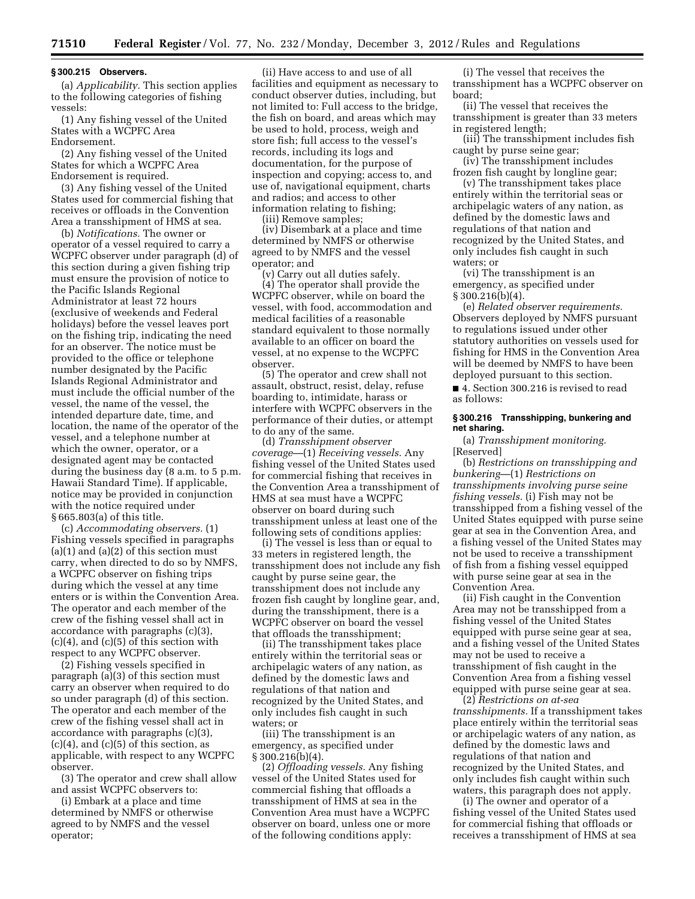#### **§ 300.215 Observers.**

(a) *Applicability.* This section applies to the following categories of fishing vessels:

(1) Any fishing vessel of the United States with a WCPFC Area Endorsement.

(2) Any fishing vessel of the United States for which a WCPFC Area Endorsement is required.

(3) Any fishing vessel of the United States used for commercial fishing that receives or offloads in the Convention Area a transshipment of HMS at sea.

(b) *Notifications.* The owner or operator of a vessel required to carry a WCPFC observer under paragraph (d) of this section during a given fishing trip must ensure the provision of notice to the Pacific Islands Regional Administrator at least 72 hours (exclusive of weekends and Federal holidays) before the vessel leaves port on the fishing trip, indicating the need for an observer. The notice must be provided to the office or telephone number designated by the Pacific Islands Regional Administrator and must include the official number of the vessel, the name of the vessel, the intended departure date, time, and location, the name of the operator of the vessel, and a telephone number at which the owner, operator, or a designated agent may be contacted during the business day (8 a.m. to 5 p.m. Hawaii Standard Time). If applicable, notice may be provided in conjunction with the notice required under § 665.803(a) of this title.

(c) *Accommodating observers.* (1) Fishing vessels specified in paragraphs  $(a)(1)$  and  $(a)(2)$  of this section must carry, when directed to do so by NMFS, a WCPFC observer on fishing trips during which the vessel at any time enters or is within the Convention Area. The operator and each member of the crew of the fishing vessel shall act in accordance with paragraphs (c)(3), (c)(4), and (c)(5) of this section with respect to any WCPFC observer.

(2) Fishing vessels specified in paragraph (a)(3) of this section must carry an observer when required to do so under paragraph (d) of this section. The operator and each member of the crew of the fishing vessel shall act in accordance with paragraphs (c)(3),  $(c)(4)$ , and  $(c)(5)$  of this section, as applicable, with respect to any WCPFC observer.

(3) The operator and crew shall allow and assist WCPFC observers to:

(i) Embark at a place and time determined by NMFS or otherwise agreed to by NMFS and the vessel operator;

(ii) Have access to and use of all facilities and equipment as necessary to conduct observer duties, including, but not limited to: Full access to the bridge, the fish on board, and areas which may be used to hold, process, weigh and store fish; full access to the vessel's records, including its logs and documentation, for the purpose of inspection and copying; access to, and use of, navigational equipment, charts and radios; and access to other information relating to fishing;

(iii) Remove samples;

(iv) Disembark at a place and time determined by NMFS or otherwise agreed to by NMFS and the vessel operator; and

(v) Carry out all duties safely.

(4) The operator shall provide the WCPFC observer, while on board the vessel, with food, accommodation and medical facilities of a reasonable standard equivalent to those normally available to an officer on board the vessel, at no expense to the WCPFC observer.

(5) The operator and crew shall not assault, obstruct, resist, delay, refuse boarding to, intimidate, harass or interfere with WCPFC observers in the performance of their duties, or attempt to do any of the same.

(d) *Transshipment observer coverage*—(1) *Receiving vessels.* Any fishing vessel of the United States used for commercial fishing that receives in the Convention Area a transshipment of HMS at sea must have a WCPFC observer on board during such transshipment unless at least one of the following sets of conditions applies:

(i) The vessel is less than or equal to 33 meters in registered length, the transshipment does not include any fish caught by purse seine gear, the transshipment does not include any frozen fish caught by longline gear, and, during the transshipment, there is a WCPFC observer on board the vessel that offloads the transshipment;

(ii) The transshipment takes place entirely within the territorial seas or archipelagic waters of any nation, as defined by the domestic laws and regulations of that nation and recognized by the United States, and only includes fish caught in such waters; or

(iii) The transshipment is an emergency, as specified under  $§ 300.216(b)(4).$ 

(2) *Offloading vessels.* Any fishing vessel of the United States used for commercial fishing that offloads a transshipment of HMS at sea in the Convention Area must have a WCPFC observer on board, unless one or more of the following conditions apply:

(i) The vessel that receives the transshipment has a WCPFC observer on board;

(ii) The vessel that receives the transshipment is greater than 33 meters in registered length;

(iii) The transshipment includes fish caught by purse seine gear;

(iv) The transshipment includes frozen fish caught by longline gear;

(v) The transshipment takes place entirely within the territorial seas or archipelagic waters of any nation, as defined by the domestic laws and regulations of that nation and recognized by the United States, and only includes fish caught in such waters; or

(vi) The transshipment is an emergency, as specified under  $§ 300.216(b)(4).$ 

(e) *Related observer requirements.*  Observers deployed by NMFS pursuant to regulations issued under other statutory authorities on vessels used for fishing for HMS in the Convention Area will be deemed by NMFS to have been deployed pursuant to this section.

■ 4. Section 300.216 is revised to read as follows:

## **§ 300.216 Transshipping, bunkering and net sharing.**

(a) *Transshipment monitoring.*  [Reserved]

(b) *Restrictions on transshipping and bunkering*—(1) *Restrictions on transshipments involving purse seine fishing vessels.* (i) Fish may not be transshipped from a fishing vessel of the United States equipped with purse seine gear at sea in the Convention Area, and a fishing vessel of the United States may not be used to receive a transshipment of fish from a fishing vessel equipped with purse seine gear at sea in the Convention Area.

(ii) Fish caught in the Convention Area may not be transshipped from a fishing vessel of the United States equipped with purse seine gear at sea, and a fishing vessel of the United States may not be used to receive a transshipment of fish caught in the Convention Area from a fishing vessel equipped with purse seine gear at sea.

(2) *Restrictions on at-sea transshipments.* If a transshipment takes place entirely within the territorial seas or archipelagic waters of any nation, as defined by the domestic laws and regulations of that nation and recognized by the United States, and only includes fish caught within such waters, this paragraph does not apply.

(i) The owner and operator of a fishing vessel of the United States used for commercial fishing that offloads or receives a transshipment of HMS at sea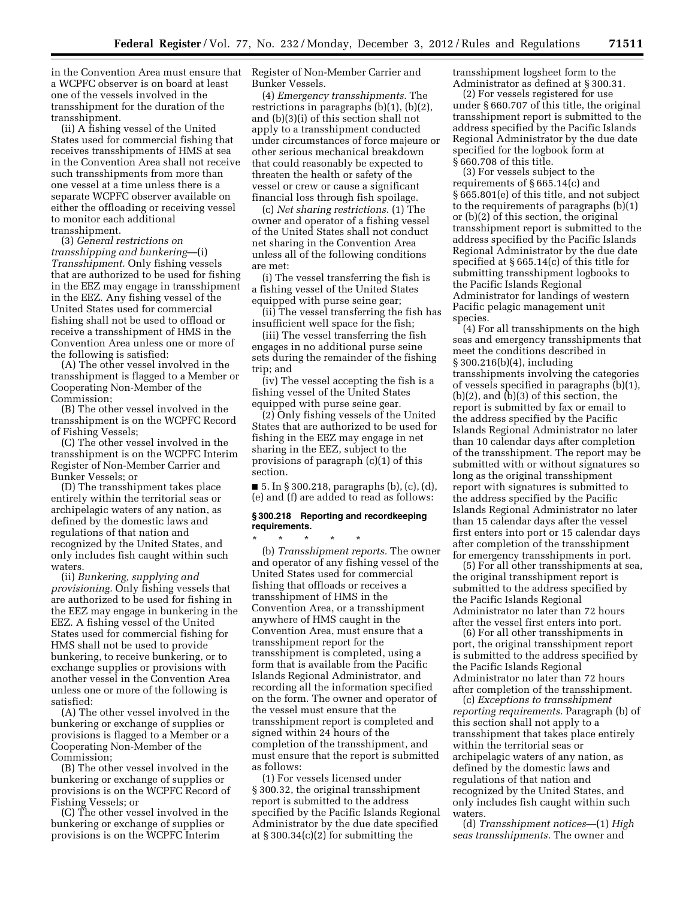in the Convention Area must ensure that a WCPFC observer is on board at least one of the vessels involved in the transshipment for the duration of the transshipment.

(ii) A fishing vessel of the United States used for commercial fishing that receives transshipments of HMS at sea in the Convention Area shall not receive such transshipments from more than one vessel at a time unless there is a separate WCPFC observer available on either the offloading or receiving vessel to monitor each additional transshipment.

(3) *General restrictions on transshipping and bunkering*—(i) *Transshipment.* Only fishing vessels that are authorized to be used for fishing in the EEZ may engage in transshipment in the EEZ. Any fishing vessel of the United States used for commercial fishing shall not be used to offload or receive a transshipment of HMS in the Convention Area unless one or more of the following is satisfied:

(A) The other vessel involved in the transshipment is flagged to a Member or Cooperating Non-Member of the Commission;

(B) The other vessel involved in the transshipment is on the WCPFC Record of Fishing Vessels;

(C) The other vessel involved in the transshipment is on the WCPFC Interim Register of Non-Member Carrier and Bunker Vessels; or

(D) The transshipment takes place entirely within the territorial seas or archipelagic waters of any nation, as defined by the domestic laws and regulations of that nation and recognized by the United States, and only includes fish caught within such waters.

(ii) *Bunkering, supplying and provisioning.* Only fishing vessels that are authorized to be used for fishing in the EEZ may engage in bunkering in the EEZ. A fishing vessel of the United States used for commercial fishing for HMS shall not be used to provide bunkering, to receive bunkering, or to exchange supplies or provisions with another vessel in the Convention Area unless one or more of the following is satisfied:

(A) The other vessel involved in the bunkering or exchange of supplies or provisions is flagged to a Member or a Cooperating Non-Member of the Commission;

(B) The other vessel involved in the bunkering or exchange of supplies or provisions is on the WCPFC Record of Fishing Vessels; or

(C) The other vessel involved in the bunkering or exchange of supplies or provisions is on the WCPFC Interim

Register of Non-Member Carrier and Bunker Vessels.

(4) *Emergency transshipments.* The restrictions in paragraphs (b)(1), (b)(2), and (b)(3)(i) of this section shall not apply to a transshipment conducted under circumstances of force majeure or other serious mechanical breakdown that could reasonably be expected to threaten the health or safety of the vessel or crew or cause a significant financial loss through fish spoilage.

(c) *Net sharing restrictions.* (1) The owner and operator of a fishing vessel of the United States shall not conduct net sharing in the Convention Area unless all of the following conditions are met:

(i) The vessel transferring the fish is a fishing vessel of the United States equipped with purse seine gear;

(ii) The vessel transferring the fish has insufficient well space for the fish;

(iii) The vessel transferring the fish engages in no additional purse seine sets during the remainder of the fishing trip; and

(iv) The vessel accepting the fish is a fishing vessel of the United States equipped with purse seine gear.

(2) Only fishing vessels of the United States that are authorized to be used for fishing in the EEZ may engage in net sharing in the EEZ, subject to the provisions of paragraph (c)(1) of this section.

■ 5. In § 300.218, paragraphs (b), (c), (d), (e) and (f) are added to read as follows:

## **§ 300.218 Reporting and recordkeeping requirements.**

\* \* \* \* \* (b) *Transshipment reports.* The owner and operator of any fishing vessel of the United States used for commercial fishing that offloads or receives a transshipment of HMS in the Convention Area, or a transshipment anywhere of HMS caught in the Convention Area, must ensure that a transshipment report for the transshipment is completed, using a form that is available from the Pacific Islands Regional Administrator, and recording all the information specified on the form. The owner and operator of the vessel must ensure that the transshipment report is completed and signed within 24 hours of the completion of the transshipment, and must ensure that the report is submitted as follows:

(1) For vessels licensed under § 300.32, the original transshipment report is submitted to the address specified by the Pacific Islands Regional Administrator by the due date specified at § 300.34(c)(2) for submitting the

transshipment logsheet form to the Administrator as defined at § 300.31.

(2) For vessels registered for use under § 660.707 of this title, the original transshipment report is submitted to the address specified by the Pacific Islands Regional Administrator by the due date specified for the logbook form at § 660.708 of this title.

(3) For vessels subject to the requirements of § 665.14(c) and § 665.801(e) of this title, and not subject to the requirements of paragraphs (b)(1) or (b)(2) of this section, the original transshipment report is submitted to the address specified by the Pacific Islands Regional Administrator by the due date specified at § 665.14(c) of this title for submitting transshipment logbooks to the Pacific Islands Regional Administrator for landings of western Pacific pelagic management unit species.

(4) For all transshipments on the high seas and emergency transshipments that meet the conditions described in § 300.216(b)(4), including transshipments involving the categories of vessels specified in paragraphs (b)(1), (b)(2), and (b)(3) of this section, the report is submitted by fax or email to the address specified by the Pacific Islands Regional Administrator no later than 10 calendar days after completion of the transshipment. The report may be submitted with or without signatures so long as the original transshipment report with signatures is submitted to the address specified by the Pacific Islands Regional Administrator no later than 15 calendar days after the vessel first enters into port or 15 calendar days after completion of the transshipment for emergency transshipments in port.

(5) For all other transshipments at sea, the original transshipment report is submitted to the address specified by the Pacific Islands Regional Administrator no later than 72 hours after the vessel first enters into port.

(6) For all other transshipments in port, the original transshipment report is submitted to the address specified by the Pacific Islands Regional Administrator no later than 72 hours after completion of the transshipment.

(c) *Exceptions to transshipment reporting requirements.* Paragraph (b) of this section shall not apply to a transshipment that takes place entirely within the territorial seas or archipelagic waters of any nation, as defined by the domestic laws and regulations of that nation and recognized by the United States, and only includes fish caught within such waters.

(d) *Transshipment notices*—(1) *High seas transshipments.* The owner and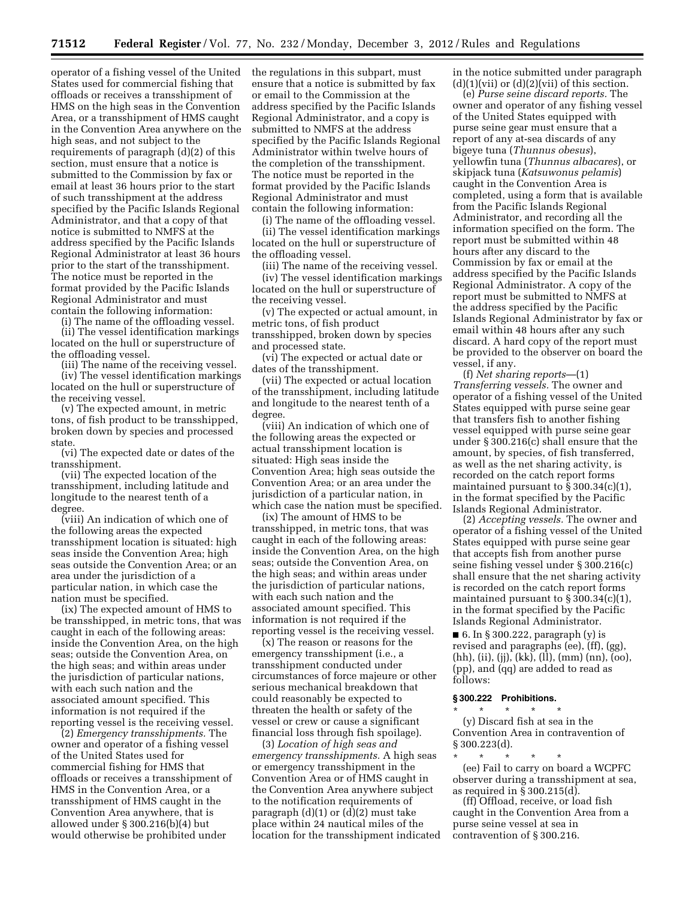operator of a fishing vessel of the United States used for commercial fishing that offloads or receives a transshipment of HMS on the high seas in the Convention Area, or a transshipment of HMS caught in the Convention Area anywhere on the high seas, and not subject to the requirements of paragraph (d)(2) of this section, must ensure that a notice is submitted to the Commission by fax or email at least 36 hours prior to the start of such transshipment at the address specified by the Pacific Islands Regional Administrator, and that a copy of that notice is submitted to NMFS at the address specified by the Pacific Islands Regional Administrator at least 36 hours prior to the start of the transshipment. The notice must be reported in the format provided by the Pacific Islands Regional Administrator and must contain the following information:

(i) The name of the offloading vessel.

(ii) The vessel identification markings located on the hull or superstructure of the offloading vessel.

(iii) The name of the receiving vessel. (iv) The vessel identification markings located on the hull or superstructure of the receiving vessel.

(v) The expected amount, in metric tons, of fish product to be transshipped, broken down by species and processed state.

(vi) The expected date or dates of the transshipment.

(vii) The expected location of the transshipment, including latitude and longitude to the nearest tenth of a degree.

(viii) An indication of which one of the following areas the expected transshipment location is situated: high seas inside the Convention Area; high seas outside the Convention Area; or an area under the jurisdiction of a particular nation, in which case the nation must be specified.

(ix) The expected amount of HMS to be transshipped, in metric tons, that was caught in each of the following areas: inside the Convention Area, on the high seas; outside the Convention Area, on the high seas; and within areas under the jurisdiction of particular nations, with each such nation and the associated amount specified. This information is not required if the reporting vessel is the receiving vessel.

(2) *Emergency transshipments.* The owner and operator of a fishing vessel of the United States used for commercial fishing for HMS that offloads or receives a transshipment of HMS in the Convention Area, or a transshipment of HMS caught in the Convention Area anywhere, that is allowed under § 300.216(b)(4) but would otherwise be prohibited under

the regulations in this subpart, must ensure that a notice is submitted by fax or email to the Commission at the address specified by the Pacific Islands Regional Administrator, and a copy is submitted to NMFS at the address specified by the Pacific Islands Regional Administrator within twelve hours of the completion of the transshipment. The notice must be reported in the format provided by the Pacific Islands Regional Administrator and must contain the following information:

(i) The name of the offloading vessel. (ii) The vessel identification markings located on the hull or superstructure of the offloading vessel.

(iii) The name of the receiving vessel.

(iv) The vessel identification markings located on the hull or superstructure of the receiving vessel.

(v) The expected or actual amount, in metric tons, of fish product transshipped, broken down by species and processed state.

(vi) The expected or actual date or dates of the transshipment.

(vii) The expected or actual location of the transshipment, including latitude and longitude to the nearest tenth of a degree.

(viii) An indication of which one of the following areas the expected or actual transshipment location is situated: High seas inside the Convention Area; high seas outside the Convention Area; or an area under the jurisdiction of a particular nation, in which case the nation must be specified.

(ix) The amount of HMS to be transshipped, in metric tons, that was caught in each of the following areas: inside the Convention Area, on the high seas; outside the Convention Area, on the high seas; and within areas under the jurisdiction of particular nations, with each such nation and the associated amount specified. This information is not required if the reporting vessel is the receiving vessel.

(x) The reason or reasons for the emergency transshipment (i.e., a transshipment conducted under circumstances of force majeure or other serious mechanical breakdown that could reasonably be expected to threaten the health or safety of the vessel or crew or cause a significant financial loss through fish spoilage).

(3) *Location of high seas and emergency transshipments.* A high seas or emergency transshipment in the Convention Area or of HMS caught in the Convention Area anywhere subject to the notification requirements of paragraph  $(d)(1)$  or  $(d)(2)$  must take place within 24 nautical miles of the location for the transshipment indicated in the notice submitted under paragraph  $(d)(1)(\n \n \chi)(\n \chi)(\n \chi)(\chi)(\chi)(\chi)(\chi)$  of this section.

(e) *Purse seine discard reports.* The owner and operator of any fishing vessel of the United States equipped with purse seine gear must ensure that a report of any at-sea discards of any bigeye tuna (*Thunnus obesus*), yellowfin tuna (*Thunnus albacares*), or skipjack tuna (*Katsuwonus pelamis*) caught in the Convention Area is completed, using a form that is available from the Pacific Islands Regional Administrator, and recording all the information specified on the form. The report must be submitted within 48 hours after any discard to the Commission by fax or email at the address specified by the Pacific Islands Regional Administrator. A copy of the report must be submitted to NMFS at the address specified by the Pacific Islands Regional Administrator by fax or email within 48 hours after any such discard. A hard copy of the report must be provided to the observer on board the vessel, if any.

(f) *Net sharing reports*—(1) *Transferring vessels.* The owner and operator of a fishing vessel of the United States equipped with purse seine gear that transfers fish to another fishing vessel equipped with purse seine gear under § 300.216(c) shall ensure that the amount, by species, of fish transferred, as well as the net sharing activity, is recorded on the catch report forms maintained pursuant to  $\S 300.34(c)(1)$ , in the format specified by the Pacific Islands Regional Administrator.

(2) *Accepting vessels.* The owner and operator of a fishing vessel of the United States equipped with purse seine gear that accepts fish from another purse seine fishing vessel under § 300.216(c) shall ensure that the net sharing activity is recorded on the catch report forms maintained pursuant to  $\S 300.34(c)(1)$ , in the format specified by the Pacific Islands Regional Administrator.

 $\blacksquare$  6. In § 300.222, paragraph (y) is revised and paragraphs (ee), (ff), (gg), (hh), (ii), (jj), (kk), (ll), (mm) (nn), (oo), (pp), and (qq) are added to read as follows:

#### **§ 300.222 Prohibitions.**

\* \* \* \* \* (y) Discard fish at sea in the Convention Area in contravention of § 300.223(d).

\* \* \* \* \* (ee) Fail to carry on board a WCPFC observer during a transshipment at sea, as required in § 300.215(d).

(ff) Offload, receive, or load fish caught in the Convention Area from a purse seine vessel at sea in contravention of § 300.216.